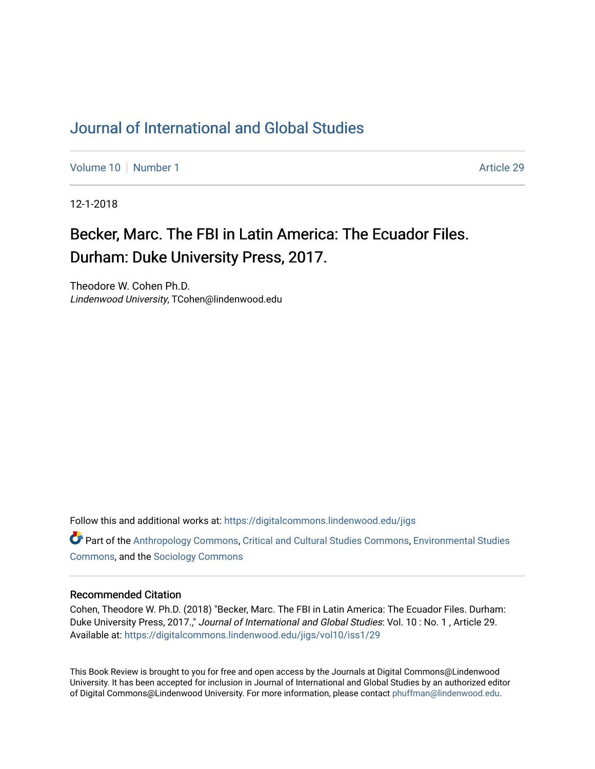## [Journal of International and Global Studies](https://digitalcommons.lindenwood.edu/jigs)

[Volume 10](https://digitalcommons.lindenwood.edu/jigs/vol10) [Number 1](https://digitalcommons.lindenwood.edu/jigs/vol10/iss1) Article 29

12-1-2018

## Becker, Marc. The FBI in Latin America: The Ecuador Files. Durham: Duke University Press, 2017.

Theodore W. Cohen Ph.D. Lindenwood University, TCohen@lindenwood.edu

Follow this and additional works at: [https://digitalcommons.lindenwood.edu/jigs](https://digitalcommons.lindenwood.edu/jigs?utm_source=digitalcommons.lindenwood.edu%2Fjigs%2Fvol10%2Fiss1%2F29&utm_medium=PDF&utm_campaign=PDFCoverPages) 

**C** Part of the [Anthropology Commons](http://network.bepress.com/hgg/discipline/318?utm_source=digitalcommons.lindenwood.edu%2Fjigs%2Fvol10%2Fiss1%2F29&utm_medium=PDF&utm_campaign=PDFCoverPages), [Critical and Cultural Studies Commons](http://network.bepress.com/hgg/discipline/328?utm_source=digitalcommons.lindenwood.edu%2Fjigs%2Fvol10%2Fiss1%2F29&utm_medium=PDF&utm_campaign=PDFCoverPages), Environmental Studies [Commons](http://network.bepress.com/hgg/discipline/1333?utm_source=digitalcommons.lindenwood.edu%2Fjigs%2Fvol10%2Fiss1%2F29&utm_medium=PDF&utm_campaign=PDFCoverPages), and the [Sociology Commons](http://network.bepress.com/hgg/discipline/416?utm_source=digitalcommons.lindenwood.edu%2Fjigs%2Fvol10%2Fiss1%2F29&utm_medium=PDF&utm_campaign=PDFCoverPages)

## Recommended Citation

Cohen, Theodore W. Ph.D. (2018) "Becker, Marc. The FBI in Latin America: The Ecuador Files. Durham: Duke University Press, 2017.," Journal of International and Global Studies: Vol. 10: No. 1, Article 29. Available at: [https://digitalcommons.lindenwood.edu/jigs/vol10/iss1/29](https://digitalcommons.lindenwood.edu/jigs/vol10/iss1/29?utm_source=digitalcommons.lindenwood.edu%2Fjigs%2Fvol10%2Fiss1%2F29&utm_medium=PDF&utm_campaign=PDFCoverPages) 

This Book Review is brought to you for free and open access by the Journals at Digital Commons@Lindenwood University. It has been accepted for inclusion in Journal of International and Global Studies by an authorized editor of Digital Commons@Lindenwood University. For more information, please contact [phuffman@lindenwood.edu](mailto:phuffman@lindenwood.edu).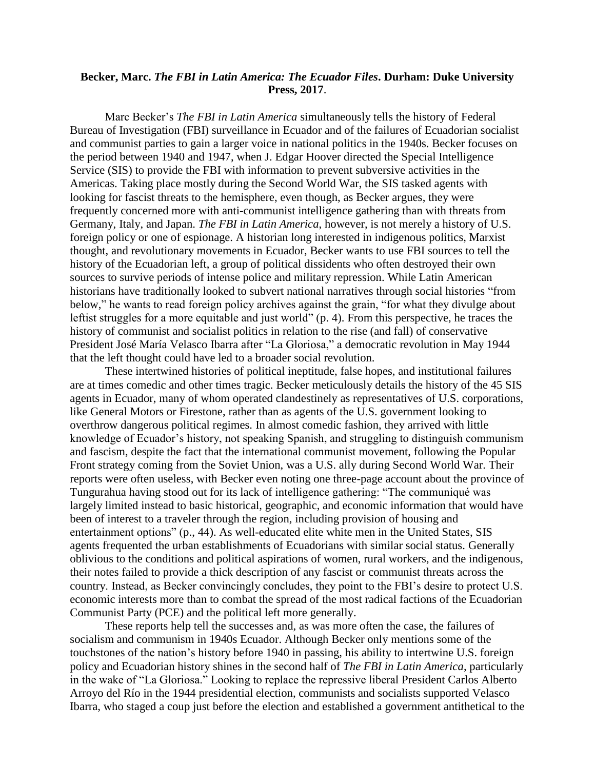## **Becker, Marc.** *The FBI in Latin America: The Ecuador Files***. Durham: Duke University Press, 2017**.

Marc Becker's *The FBI in Latin America* simultaneously tells the history of Federal Bureau of Investigation (FBI) surveillance in Ecuador and of the failures of Ecuadorian socialist and communist parties to gain a larger voice in national politics in the 1940s. Becker focuses on the period between 1940 and 1947, when J. Edgar Hoover directed the Special Intelligence Service (SIS) to provide the FBI with information to prevent subversive activities in the Americas. Taking place mostly during the Second World War, the SIS tasked agents with looking for fascist threats to the hemisphere, even though, as Becker argues, they were frequently concerned more with anti-communist intelligence gathering than with threats from Germany, Italy, and Japan. *The FBI in Latin America*, however, is not merely a history of U.S. foreign policy or one of espionage. A historian long interested in indigenous politics, Marxist thought, and revolutionary movements in Ecuador, Becker wants to use FBI sources to tell the history of the Ecuadorian left, a group of political dissidents who often destroyed their own sources to survive periods of intense police and military repression. While Latin American historians have traditionally looked to subvert national narratives through social histories "from below," he wants to read foreign policy archives against the grain, "for what they divulge about leftist struggles for a more equitable and just world" (p. 4). From this perspective, he traces the history of communist and socialist politics in relation to the rise (and fall) of conservative President José María Velasco Ibarra after "La Gloriosa," a democratic revolution in May 1944 that the left thought could have led to a broader social revolution.

These intertwined histories of political ineptitude, false hopes, and institutional failures are at times comedic and other times tragic. Becker meticulously details the history of the 45 SIS agents in Ecuador, many of whom operated clandestinely as representatives of U.S. corporations, like General Motors or Firestone, rather than as agents of the U.S. government looking to overthrow dangerous political regimes. In almost comedic fashion, they arrived with little knowledge of Ecuador's history, not speaking Spanish, and struggling to distinguish communism and fascism, despite the fact that the international communist movement, following the Popular Front strategy coming from the Soviet Union, was a U.S. ally during Second World War. Their reports were often useless, with Becker even noting one three-page account about the province of Tungurahua having stood out for its lack of intelligence gathering: "The communiqué was largely limited instead to basic historical, geographic, and economic information that would have been of interest to a traveler through the region, including provision of housing and entertainment options" (p., 44). As well-educated elite white men in the United States, SIS agents frequented the urban establishments of Ecuadorians with similar social status. Generally oblivious to the conditions and political aspirations of women, rural workers, and the indigenous, their notes failed to provide a thick description of any fascist or communist threats across the country. Instead, as Becker convincingly concludes, they point to the FBI's desire to protect U.S. economic interests more than to combat the spread of the most radical factions of the Ecuadorian Communist Party (PCE) and the political left more generally.

These reports help tell the successes and, as was more often the case, the failures of socialism and communism in 1940s Ecuador. Although Becker only mentions some of the touchstones of the nation's history before 1940 in passing, his ability to intertwine U.S. foreign policy and Ecuadorian history shines in the second half of *The FBI in Latin America*, particularly in the wake of "La Gloriosa." Looking to replace the repressive liberal President Carlos Alberto Arroyo del Río in the 1944 presidential election, communists and socialists supported Velasco Ibarra, who staged a coup just before the election and established a government antithetical to the